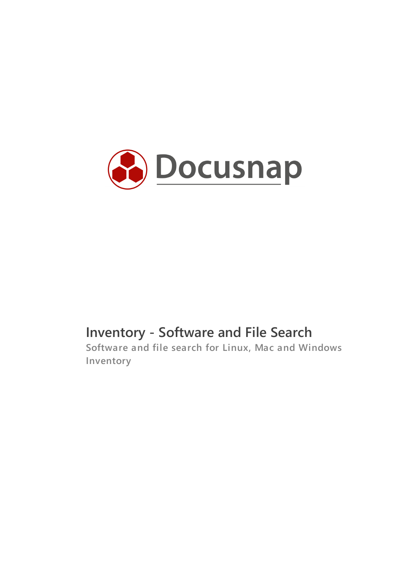

# **Inventory - Software and File Search**

**Software and file search for Linux, Mac and Windows Inventory**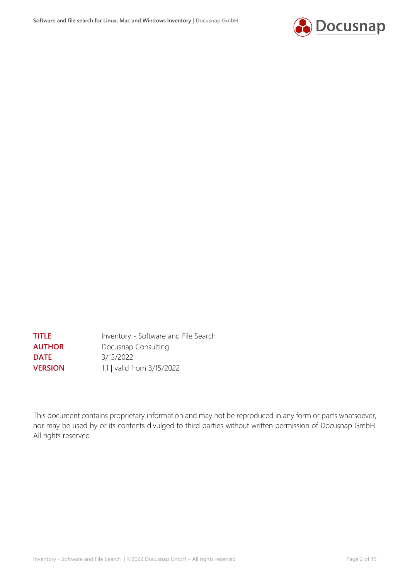

**TITLE** Inventory - Software and File Search **AUTHOR** Docusnap Consulting **DATE** 3/15/2022 **VERSION** 1.1 | valid from 3/15/2022

This document contains proprietary information and may not be reproduced in any form or parts whatsoever, nor may be used by or its contents divulged to third parties without written permission of Docusnap GmbH. All rights reserved.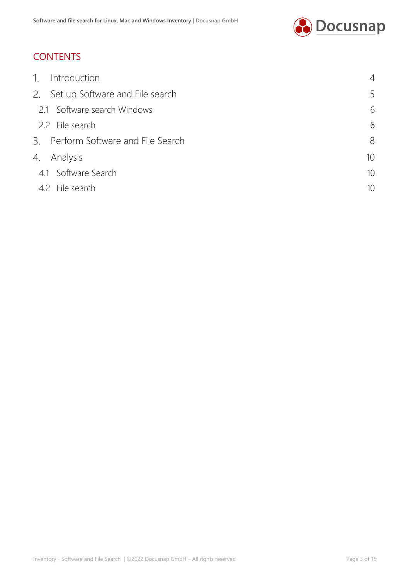

# **CONTENTS**

| $\mathcal{L}$<br>Introduction       | 4               |
|-------------------------------------|-----------------|
| 2. Set up Software and File search  | 5               |
| 2.1 Software search Windows         | 6               |
| 2.2 File search                     | 6               |
| 3. Perform Software and File Search | 8               |
| 4.<br>Analysis                      | 10 <sup>1</sup> |
| 4.1 Software Search                 | 10 <sup>°</sup> |
| 4.2 File search                     | 10              |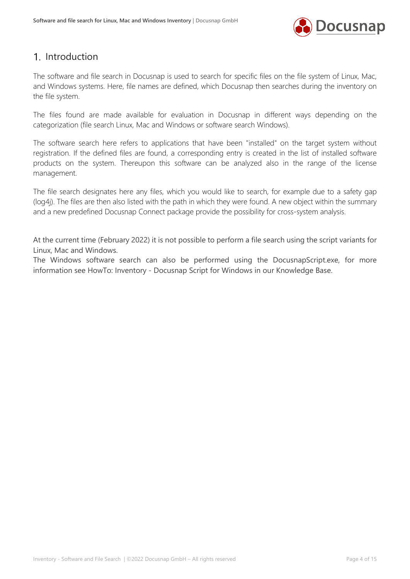

### <span id="page-3-0"></span>1. Introduction

The software and file search in Docusnap is used to search for specific files on the file system of Linux, Mac, and Windows systems. Here, file names are defined, which Docusnap then searches during the inventory on the file system.

The files found are made available for evaluation in Docusnap in different ways depending on the categorization (file search Linux, Mac and Windows or software search Windows).

The software search here refers to applications that have been "installed" on the target system without registration. If the defined files are found, a corresponding entry is created in the list of installed software products on the system. Thereupon this software can be analyzed also in the range of the license management.

The file search designates here any files, which you would like to search, for example due to a safety gap (log4j). The files are then also listed with the path in which they were found. A new object within the summary and a new predefined Docusnap Connect package provide the possibility for cross-system analysis.

At the current time (February 2022) it is not possible to perform a file search using the script variants for Linux, Mac and Windows.

The Windows software search can also be performed using the DocusnapScript.exe, for more information see HowTo: Inventory - Docusnap Script for Windows in our Knowledge Base.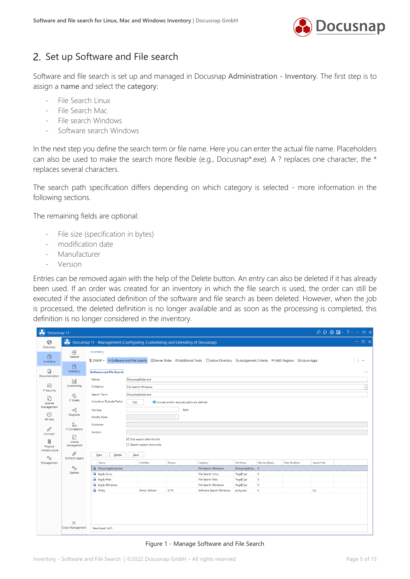

# <span id="page-4-0"></span>2. Set up Software and File search

Software and file search is set up and managed in Docusnap Administration - Inventory. The first step is to assign a name and select the category:

- File Search Linux
- File Search Mac
- File search Windows
- Software search Windows

In the next step you define the search term or file name. Here you can enter the actual file name. Placeholders can also be used to make the search more flexible (e.g., Docusnap\*.exe). A ? replaces one character, the \* replaces several characters.

The search path specification differs depending on which category is selected - more information in the following sections.

The remaining fields are optional:

- File size (specification in bytes)
- modification date
- Manufacturer
- **Version**

Entries can be removed again with the help of the Delete button. An entry can also be deleted if it has already been used. If an order was created for an inventory in which the file search is used, the order can still be executed if the associated definition of the software and file search as been deleted. However, when the job is processed, the deleted definition is no longer available and as soon as the processing is completed, this definition is no longer considered in the inventory.

| <b>O</b> Docusnap 11                                                      |                              |                                             |                                                                                                                                                       |                                                   |                                                 |                                |                   |                      |                    |                     |
|---------------------------------------------------------------------------|------------------------------|---------------------------------------------|-------------------------------------------------------------------------------------------------------------------------------------------------------|---------------------------------------------------|-------------------------------------------------|--------------------------------|-------------------|----------------------|--------------------|---------------------|
| $\odot$                                                                   |                              |                                             | (b) Docusnap 11 - Management (Configuring, Customizing and Extending of Docusnap)                                                                     |                                                   |                                                 |                                |                   |                      |                    | $ \Box$ $\times$    |
| Discovery<br>凡<br>Inventory                                               | 田<br>General                 | Inventory                                   | SSNMP + coSoftware and File Search   Ill Server Roles   曲Additional Tools   □ Active Directory   【 Assignment Criteria   ■ AWS Regions   B Azure Apps |                                                   |                                                 |                                |                   |                      |                    | ÷<br>$\star$        |
| M<br>Documentation                                                        | 卪<br>Inventory               | <b>Software and File Search</b>             |                                                                                                                                                       |                                                   |                                                 |                                |                   |                      |                    | 4P                  |
| 도                                                                         | N<br>Customizing             | Name:<br>Category:                          | DocusnapScript.exe                                                                                                                                    |                                                   |                                                 |                                |                   |                      |                    |                     |
| <b>IT Security</b>                                                        | $\mathbb{G}$                 | Search Term:                                | <b>File Search Windows</b><br>DocusnapScript.exe                                                                                                      |                                                   |                                                 |                                |                   |                      |                    | $\vert \cdot \vert$ |
| n<br>License                                                              | <b>IT Assets</b>             | Include or Exclude Paths:                   | Edit                                                                                                                                                  | <b>O</b> Include and/or exclude paths are defined |                                                 |                                |                   |                      |                    |                     |
| Management<br>$\odot$                                                     | ≪<br>Diagrams                | File Size:<br>Modify Date:                  |                                                                                                                                                       | Byte                                              |                                                 |                                |                   |                      |                    |                     |
| All Jobs<br>$\alpha^{\!\!\!~\!\!\!~\!\!\!\!~\!\!\!\!~\!\!\!\!~\!\!\!\!~}$ | ł.<br><b>IT Correlations</b> | Publisher:<br>Version:                      |                                                                                                                                                       |                                                   |                                                 |                                |                   |                      |                    |                     |
| Connect<br>目<br>Physical<br>Infrastructure                                | ؏<br>License<br>Management   |                                             | □ End search after first hit<br>Search system drive only                                                                                              |                                                   |                                                 |                                |                   |                      |                    |                     |
| $\phi_{\bullet}$                                                          | ø<br>Connect Legacy          | Delete<br><b>New</b>                        | Save                                                                                                                                                  |                                                   |                                                 |                                |                   |                      |                    |                     |
| Management                                                                |                              | Name                                        | Publisher                                                                                                                                             | Version                                           | Category                                        | <b>File Name</b>               | File Size (Bytes) | <b>Date Modified</b> | <b>Search Path</b> |                     |
|                                                                           | $\phi_{\bullet}$<br>Options  | DocusnapScript.exe<br>$\bullet$ log4j-Linux |                                                                                                                                                       |                                                   | <b>File Search Windows</b><br>File Search Linux | DocusnapScrip 0<br>*log4j*.jar | $\circ$           |                      |                    |                     |
|                                                                           |                              | og4j-Mac                                    |                                                                                                                                                       |                                                   | File Search Mac                                 | *log4j*.jar                    | $\bullet$         |                      |                    |                     |
|                                                                           |                              | log4j-Windows                               |                                                                                                                                                       |                                                   | File Search Windows                             | *log4j*.jar                    | $\circ$           |                      |                    |                     |
|                                                                           |                              | <b>B</b> Putty                              | Simon Tatham                                                                                                                                          | 0.76                                              | Software Search Windows                         | putty.exe                      | $\circ$           |                      | $C\Lambda$         |                     |
|                                                                           | $\times$                     |                                             |                                                                                                                                                       |                                                   |                                                 |                                |                   |                      |                    |                     |
|                                                                           | Close Management             | Row Count: 5 of 5                           |                                                                                                                                                       |                                                   |                                                 |                                |                   |                      |                    |                     |

<span id="page-4-1"></span>Figure 1 - Manage Software and File Search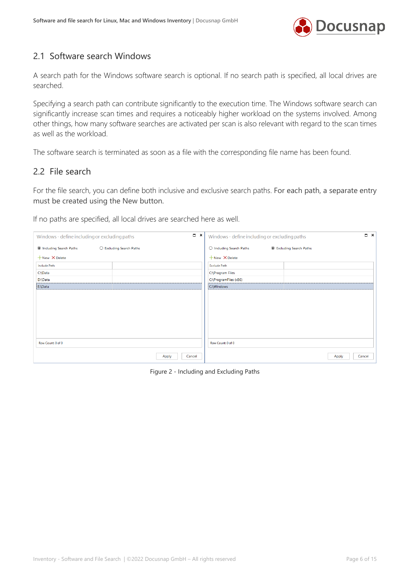

### <span id="page-5-0"></span>2.1 Software search Windows

A search path for the Windows software search is optional. If no search path is specified, all local drives are searched.

Specifying a search path can contribute significantly to the execution time. The Windows software search can significantly increase scan times and requires a noticeably higher workload on the systems involved. Among other things, how many software searches are activated per scan is also relevant with regard to the scan times as well as the workload.

The software search is terminated as soon as a file with the corresponding file name has been found.

#### <span id="page-5-1"></span>2.2 File search

For the file search, you can define both inclusive and exclusive search paths. For each path, a separate entry must be created using the New button.

If no paths are specified, all local drives are searched here as well.

| $\Box$ $\times$<br>Windows - define including or excluding paths | $\Box$ $\times$<br>Windows - define including or excluding paths |
|------------------------------------------------------------------|------------------------------------------------------------------|
| <b>O</b> Including Search Paths<br>○ Excluding Search Paths      | O Including Search Paths<br><b>Excluding Search Paths</b>        |
| $+$ New $\times$ Delete                                          | $+$ New $\times$ Delete                                          |
| <b>Include Path</b>                                              | <b>Exclude Path</b>                                              |
| C:\Data                                                          | C:\Program Files                                                 |
| D:\Data                                                          | C:\ProgramFiles (x86)                                            |
| E:\Data                                                          | C:\Windows                                                       |
|                                                                  |                                                                  |
| Row Count: 0 of 0                                                | Row Count: 0 of 0                                                |
| Cancel<br>Apply                                                  | Cancel<br>Apply                                                  |

<span id="page-5-2"></span>Figure 2 - Including and Excluding Paths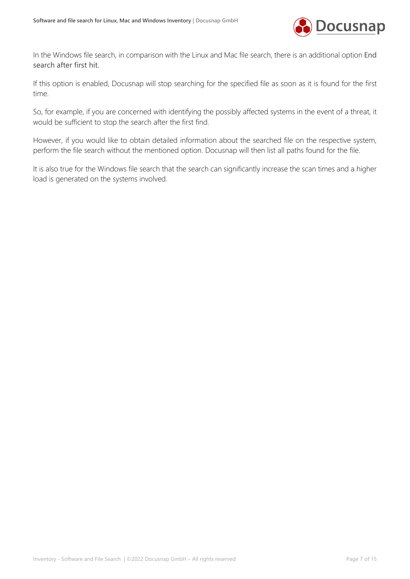

In the Windows file search, in comparison with the Linux and Mac file search, there is an additional option End search after first hit.

If this option is enabled, Docusnap will stop searching for the specified file as soon as it is found for the first time.

So, for example, if you are concerned with identifying the possibly affected systems in the event of a threat, it would be sufficient to stop the search after the first find.

However, if you would like to obtain detailed information about the searched file on the respective system, perform the file search without the mentioned option. Docusnap will then list all paths found for the file.

It is also true for the Windows file search that the search can significantly increase the scan times and a higher load is generated on the systems involved.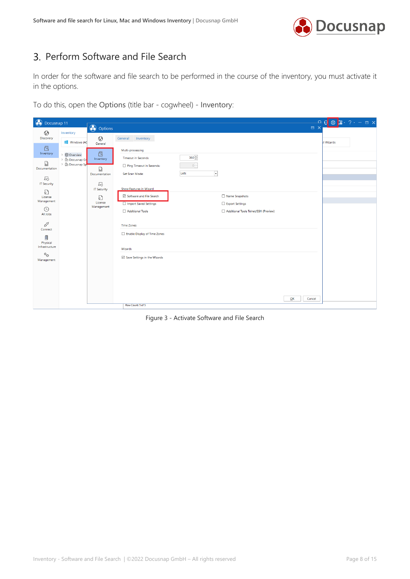

# <span id="page-7-0"></span>3. Perform Software and File Search

In order for the software and file search to be performed in the course of the inventory, you must activate it in the options.

To do this, open the Options (title bar - cogwheel) - Inventory:

| options<br>$\odot$<br>Inventory<br><b>Discovery</b><br>$\odot$<br>Inventory<br>General<br>Windows (AD<br>Il Wizards<br>General<br><sub>[2]</sub><br>Multi-processing<br><b>a</b><br>Inventory<br>> © Overview<br>$360 -$<br><b>Timeout in Seconds</b><br>Inventory<br>> A Docusnap Gr<br>$\Box$<br>> A Docusnap Sp<br>$0\div$<br>Ping Timeout in Seconds:<br>M<br>Documentation<br>LAN<br>$\vert \cdot \vert$<br>Set Scan Mode:<br>Documentation<br>도<br>马<br><b>IT Security</b><br>Show Features in Wizard<br><b>IT Security</b><br>男<br>☑ Software and File Search<br>Name Snapshots<br>License<br>$\Box$<br>Management<br>License<br>Import Saved Settings<br>Export Settings<br>Management<br>$\odot$<br>Additional Tools<br>Additional Tools Telnet/SSH (Preview)<br>All Jobs<br>œ<br><b>Time Zones</b><br>Connect<br>Enable Display of Time Zones<br>目<br>Physical<br>Infrastructure<br>Wizards<br>$\mathbf{O}_{\mathbf{C}^*}$<br>Save Settings in the Wizards<br>Management<br>QK<br>Cancel | <b>O</b> Docusnap 11 |  |  | <b>DX</b> | <mark>຺຺຺</mark> ຺຺຺຺຺຺຺຺ |
|----------------------------------------------------------------------------------------------------------------------------------------------------------------------------------------------------------------------------------------------------------------------------------------------------------------------------------------------------------------------------------------------------------------------------------------------------------------------------------------------------------------------------------------------------------------------------------------------------------------------------------------------------------------------------------------------------------------------------------------------------------------------------------------------------------------------------------------------------------------------------------------------------------------------------------------------------------------------------------------------------|----------------------|--|--|-----------|---------------------------|
|                                                                                                                                                                                                                                                                                                                                                                                                                                                                                                                                                                                                                                                                                                                                                                                                                                                                                                                                                                                                    |                      |  |  |           |                           |
|                                                                                                                                                                                                                                                                                                                                                                                                                                                                                                                                                                                                                                                                                                                                                                                                                                                                                                                                                                                                    |                      |  |  |           |                           |
|                                                                                                                                                                                                                                                                                                                                                                                                                                                                                                                                                                                                                                                                                                                                                                                                                                                                                                                                                                                                    |                      |  |  |           |                           |
|                                                                                                                                                                                                                                                                                                                                                                                                                                                                                                                                                                                                                                                                                                                                                                                                                                                                                                                                                                                                    |                      |  |  |           |                           |
| Row Count: 5 of 5                                                                                                                                                                                                                                                                                                                                                                                                                                                                                                                                                                                                                                                                                                                                                                                                                                                                                                                                                                                  |                      |  |  |           |                           |

<span id="page-7-1"></span>Figure 3 - Activate Software and File Search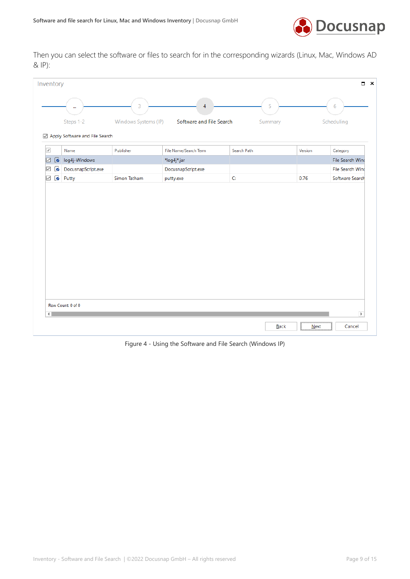

Then you can select the software or files to search for in the corresponding wizards (Linux, Mac, Windows AD & IP):

| Inventory           |           |                                |                      |                          |             |         | $\Box$ $\times$         |
|---------------------|-----------|--------------------------------|----------------------|--------------------------|-------------|---------|-------------------------|
|                     |           | m                              | 3                    | $\overline{4}$           | 5           |         | 6                       |
|                     |           | Steps 1-2                      | Windows Systems (IP) | Software and File Search | Summary     |         | Scheduling              |
|                     |           | Apply Software and File Search |                      |                          |             |         |                         |
| $\checkmark$        |           | Name                           | Publisher            | File Name/Search Term    | Search Path | Version | Category                |
| ☑                   | $\bullet$ | log4j-Windows                  |                      | *log4j*.jar              |             |         | File Search Wind        |
| ☑                   | B         | DocusnapScript.exe             |                      | DocusnapScript.exe       |             |         | File Search Wind        |
| $\overline{\smile}$ | C         | Putty                          | Simon Tatham         | putty.exe                | C:          | 0.76    | Software Search         |
|                     |           |                                |                      |                          |             |         |                         |
| ⊣∥                  |           | Row Count: 0 of 0              |                      |                          |             |         | $\overline{\mathbb{F}}$ |
|                     |           |                                |                      |                          | Back        | Next    |                         |

<span id="page-8-0"></span>Figure 4 - Using the Software and File Search (Windows IP)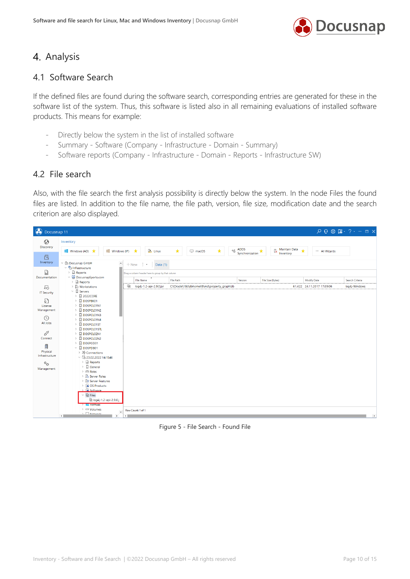

### <span id="page-9-0"></span>4. Analysis

#### <span id="page-9-1"></span>4.1 Software Search

If the defined files are found during the software search, corresponding entries are generated for these in the software list of the system. Thus, this software is listed also in all remaining evaluations of installed software products. This means for example:

- Directly below the system in the list of installed software
- Summary Software (Company Infrastructure Domain Summary)
- Software reports (Company Infrastructure Domain Reports Infrastructure SW)

#### <span id="page-9-2"></span>4.2 File search

Also, with the file search the first analysis possibility is directly below the system. In the node Files the found files are listed. In addition to the file name, the file path, version, file size, modification date and the search criterion are also displayed.

| <b>O</b> Docusnap 11               |                                                                                                                                                                |                                                                                                                                                                                                     | $Q Q \otimes \mathbb{R} \cdot ? - \square \times$ |
|------------------------------------|----------------------------------------------------------------------------------------------------------------------------------------------------------------|-----------------------------------------------------------------------------------------------------------------------------------------------------------------------------------------------------|---------------------------------------------------|
| $\odot$<br>Discovery               | Inventory                                                                                                                                                      | $\omega_{\bullet}^{+}$ ADDS                                                                                                                                                                         |                                                   |
| 同<br>Inventory                     | <b>Nill</b> Windows (AD) $\star$<br>Windows (IP) $\star$<br>▽ 曲 Docusnap GmbH                                                                                  | $\mathbb{R}$ Maintain Data $\star$<br>$\star$<br>$\sum$ Linux<br>$\star$<br>$\Box$ macOS<br>Synchronization $\star$<br>All Wizards                                                                  |                                                   |
| $\Box$<br>Documentation            | $\blacktriangle$<br>$\vee$ <sup>e</sup> n Infrastructure<br>> ill Reports<br>$\vee$ U DocusnapSports.com                                                       | $+$ New $\cdot$ $\cdot$<br>Data (1)<br>Drag a column header here to group by that column                                                                                                            |                                                   |
| 도                                  | $\sum_{\text{full} }$ Reports<br>G<br>$\triangleright$ $\Box$ Workstations                                                                                     | <b>File Name</b><br><b>File Path</b><br>File Size (Bytes)<br><b>Modify Date</b><br>Version<br>C:\Oracle\18c\dbhomeXE\md\property_graph\lib<br>log4j-1.2-api-2.9.0.jar<br>61.422 24.11.2017 17:39:06 | Search Criteria<br>log4j-Windows                  |
| <b>IT Security</b><br>男            | $\vee$ $\Box$ Servers<br>$\angle$ 2022CORE<br>$\angle$ $\Box$ DOSPBK01                                                                                         |                                                                                                                                                                                                     |                                                   |
| License<br>Management              | $\triangleright$ $\Box$ DOSPCL01N1<br>$\triangleright$ $\Box$ DOSPCL01N2<br>$\triangleright$ $\Box$ DOSPCL01N3                                                 |                                                                                                                                                                                                     |                                                   |
| $\odot$<br>All Jobs                | DOSPCL01N4<br>$\rightarrow$<br>$\angle$ <b>DOSPCL01ST</b>                                                                                                      |                                                                                                                                                                                                     |                                                   |
| œ<br>Connect                       | DOSPCL01STL<br>$\rightarrow$<br>DOSPCL02N1<br>$\rightarrow$<br>$\triangleright$ $\Box$ DOSPCL02N2                                                              |                                                                                                                                                                                                     |                                                   |
| 凬<br>Physical                      | $\angle$ $\Box$ DOSPCO01<br>$\vee$ <b>Q</b> DOSPDB01<br>> → Connections                                                                                        |                                                                                                                                                                                                     |                                                   |
| Infrastructure<br>$\phi_{\bullet}$ | $~\vee~$ 5 23.02.2022 14:15:46<br>$\sum_{i=1}^{n}$ Reports                                                                                                     |                                                                                                                                                                                                     |                                                   |
| Management                         | $\angle$ $\Box$ General<br>> <sup>en</sup> Roles<br>> Server Roles                                                                                             |                                                                                                                                                                                                     |                                                   |
|                                    | > 3 Server Features<br>> Co OS Products<br>$\sum$ G Software                                                                                                   |                                                                                                                                                                                                     |                                                   |
|                                    | $~\vee~$ $\blacksquare$ Files<br>la log4j-1.2-api-2.9.0.j                                                                                                      |                                                                                                                                                                                                     |                                                   |
|                                    | <b>En Hothxes</b><br>$\angle$ $\blacksquare$ Volumes<br>$\overline{\phantom{0}}$<br>$\sqrt{1 - \frac{1}{2}}$ Manuscript<br>$\overline{P}$<br>$\leftarrow$<br>∢ | Row Count: 1 of 1                                                                                                                                                                                   |                                                   |

<span id="page-9-3"></span>Figure 5 - File Search - Found File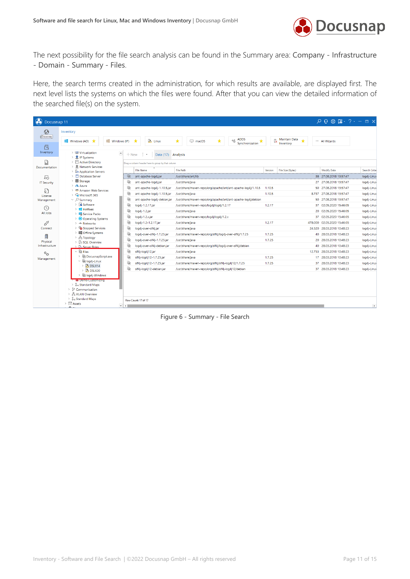

The next possibility for the file search analysis can be found in the Summary area: Company - Infrastructure - Domain - Summary - Files.

Here, the search terms created in the administration, for which results are available, are displayed first. The next level lists the systems on which the files were found. After that you can view the detailed information of the searched file(s) on the system.

| (b) Docusnap 11                           |                                                                                                                                                                          |                                                                                                  |                                                           |                                         | $Q$ $Q$ $\otimes$ $\mathbb{R}$ $\cdot$ $?$ $\cdot$ $ \Box$ $\times$ |
|-------------------------------------------|--------------------------------------------------------------------------------------------------------------------------------------------------------------------------|--------------------------------------------------------------------------------------------------|-----------------------------------------------------------|-----------------------------------------|---------------------------------------------------------------------|
| $\odot$<br>Discovery                      | Inventory<br>Windows (AD)<br>Windows (IP)<br>$\star$                                                                                                                     | ★<br>A Linux<br>★<br>$\Box$ macOS<br>★                                                           | <b>ADDS</b><br>$\alpha_{\rm O}^+$<br>★<br>Synchronization | Maintain Data<br><b>IX</b><br>Inventory | All Wizards                                                         |
| 凤<br>Inventory                            | > LD Virtualization<br>$\blacktriangle$<br><b>图 IP Systems</b>                                                                                                           | $+$ New $\cdot$ $\cdot$<br>Data (17) Analysis                                                    |                                                           |                                         |                                                                     |
| M                                         | Active Directory                                                                                                                                                         | Drag a column header here to group by that column                                                |                                                           |                                         |                                                                     |
| Documentation                             | <b>Letwork Services</b><br>> Fe Application Servers                                                                                                                      | <b>File Name</b><br><b>File Path</b>                                                             | Version                                                   | File Size (Bytes)                       | Modify Date<br><b>Search Crite</b>                                  |
| 모                                         | <b>P</b> Database Server                                                                                                                                                 | $\mathbb{G}$<br>ant-apache-log4j.jar<br>/usr/share/ant/lib                                       |                                                           |                                         | 38 27.08.2018 13:57:47<br>log4j-Linu:                               |
| <b>IT Security</b>                        | Storage                                                                                                                                                                  | ₽<br>ant-apache-log4j.jar<br>/usr/share/java                                                     |                                                           |                                         | 27 27.08.2018 13:57:47<br>log4j-Linux                               |
|                                           | $\angle$ A Azure                                                                                                                                                         | €<br>ant-apache-log4j-1.10.5.jar<br>/usr/share/maven-repo/org/apache/ant/ant-apache-log4j/1.10.5 | 1.10.5                                                    |                                         | 50 27.08.2018 13:57:47<br>log4j-Linux                               |
| 무<br>License                              | Amazon Web Services<br>Microsoft 365                                                                                                                                     | €<br>ant-apache-log4j-1.10.5.jar<br>/usr/share/java                                              | 1.10.5                                                    |                                         | 8.737 27.08.2018 13:57:47<br>log4j-Linux                            |
| Management                                | $\vee$ $\varphi$ Summary                                                                                                                                                 | €<br>/usr/share/maven-repo/org/apache/ant/ant-apache-log4j/debian<br>ant-apache-log4j-debian.jar |                                                           |                                         | 50 27.08.2018 13:57:47<br>log4j-Linux                               |
|                                           | $\sum$ Software                                                                                                                                                          | G<br>log4j-1.2.17.jar<br>/usr/share/maven-repo/log4j/log4j/1.2.17                                | 1.2.17                                                    | 37                                      | 02.05.2020 15:46:05<br>log4j-Linux                                  |
| $\circled{c}$<br>All Jobs                 | $\angle$ <b>Hotfixes</b>                                                                                                                                                 | €<br>log4j-1.2.jar<br>/usr/share/java                                                            |                                                           |                                         | 20 02.05.2020 15:46:05<br>log4j-Linux                               |
|                                           | > <b>Fig.</b> Service Packs<br>> Operating Systems                                                                                                                       | €<br>/usr/share/maven-repo/log4j/log4j/1.2.x<br>log4j-1.2.x.jar                                  |                                                           |                                         | 37 02.05.2020 15:46:05<br>log4j-Linux                               |
| œ                                         | > << Networks                                                                                                                                                            | G<br>log4j-1.2-1.2.17.jar<br>/usr/share/java                                                     | 1.2.17                                                    |                                         | 478.000 02.05.2020 15:46:05<br>log4j-Linux                          |
| Connect                                   | Stopped Services                                                                                                                                                         | Q<br>log4j-over-slf4j.jar<br>/usr/share/java                                                     |                                                           |                                         | 24.520 28.03.2018 10:48:23<br>log4j-Linux                           |
| 目                                         | > <b>Ill</b> Offline Systems                                                                                                                                             | €<br>log4j-over-slf4j-1.7.25.jar<br>/usr/share/maven-repo/org/slf4j/log4j-over-slf4j/1.7.25      | 1.7.25                                                    |                                         | 40 28.03.2018 10:48:23<br>log4j-Linux                               |
| Physical                                  | $\frac{1}{2}$ $\frac{1}{60}$ Topology<br>> Fig SQL Overview                                                                                                              | G<br>log4j-over-slf4j-1.7.25.jar<br>/usr/share/java                                              | 1.7.25                                                    |                                         | 20 28.03.2018 10:48:23<br>log4j-Linu:                               |
| Infrastructure                            | > Server Roles                                                                                                                                                           | G<br>log4j-over-slf4j-debian.jar<br>/usr/share/maven-repo/org/slf4j/log4j-over-slf4j/debian      |                                                           |                                         | 40 28.03.2018 10:48:23<br>log4j-Linux                               |
| $\mathcal{O}_{\mathcal{L}^{\mathcal{L}}}$ | $\vee$ $\Omega$ Files                                                                                                                                                    | €<br>slf4j-log4j12.jar<br>/usr/share/java                                                        |                                                           |                                         | 12.753 28.03.2018 10:48:23<br>log4j-Linux                           |
| Management                                | DocusnapScript.exe                                                                                                                                                       | €<br>slf4j-log4j12-1.7.25.jar<br>/usr/share/java                                                 | 1.7.25                                                    |                                         | 17 28.03.2018 10:48:23<br>log4j-Linux                               |
|                                           | $\vee$ <b>in log4j-Linux</b><br>$\triangleright$ <b>DSLX14</b>                                                                                                           | G<br>slf4j-log4j12-1.7.25.jar<br>/usr/share/maven-repo/org/slf4j/slf4j-log4j12/1.7.25            | 1.7.25                                                    | 37                                      | 28.03.2018 10:48:23<br>log4j-Linux                                  |
|                                           | $\triangleright$ $\blacksquare$ DSLX20                                                                                                                                   | €<br>slf4j-log4j12-debian.jar<br>/usr/share/maven-repo/org/slf4j/slf4j-log4j12/debian            |                                                           |                                         | 37 28.03.2018 10:48:23<br>log4j-Linux                               |
|                                           | la log4j-Windows<br><b>SC Demo Customizing</b><br>8- Standard Maps<br>> & Communication<br>> 좀 VLAN Overview<br>> & Standard Maps<br>$\triangleright$ $\Box$ Assets<br>U | Row Count: 17 of 17                                                                              |                                                           |                                         |                                                                     |

<span id="page-10-0"></span>Figure 6 - Summary - File Search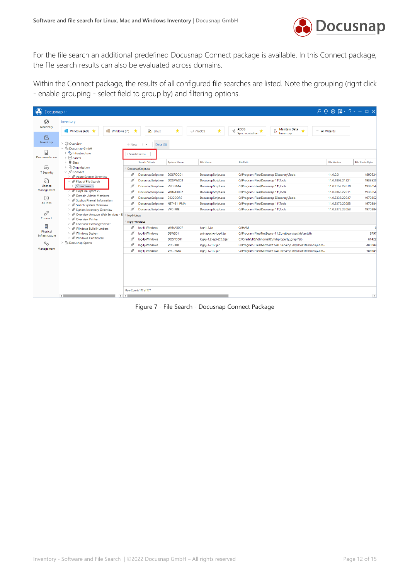

For the file search an additional predefined Docusnap Connect package is available. In this Connect package, the file search results can also be evaluated across domains.

Within the Connect package, the results of all configured file searches are listed. Note the grouping (right click - enable grouping - select field to group by) and filtering options.

| <b>O</b> Docusnap 11             |                                                                                             |             |                               |                    |                         |                                                                |                                                              | $\mathcal{P} \left[ \begin{array}{c} \mathcal{P} \\ \mathcal{P} \end{array} \right] \otimes \otimes \mathbb{R} \otimes \mathbb{R} \otimes \mathbb{R} \otimes \cdots \otimes \mathbb{R} \otimes \mathbb{R}$ |                    |
|----------------------------------|---------------------------------------------------------------------------------------------|-------------|-------------------------------|--------------------|-------------------------|----------------------------------------------------------------|--------------------------------------------------------------|------------------------------------------------------------------------------------------------------------------------------------------------------------------------------------------------------------|--------------------|
| $\odot$<br><b>Discovery</b>      | Inventory                                                                                   |             |                               |                    |                         |                                                                |                                                              |                                                                                                                                                                                                            |                    |
|                                  | Windows (IP)<br>■ Windows (AD)                                                              | ★           | A Linux                       | ★                  | ★<br>$\Box$ macOS       | <b>ADDS</b><br>$\alpha_{\rm O}^+$<br>ß<br>★<br>Synchronization | Maintain Data<br>$\star$<br>Inventory                        | All Wizards                                                                                                                                                                                                |                    |
| 凤<br>Inventory                   | <b>CD</b> Overview<br>$\rightarrow$<br>$~\vee~$ $\overset{\frown}{\text{In}}$ Docusnap GmbH | $+$ New     | -19<br>Data $(3)$             |                    |                         |                                                                |                                                              |                                                                                                                                                                                                            |                    |
| 同<br>Documentation               | > the Infrastructure<br>$\triangleright$ $\Box$ Assets                                      |             | - Search Criteria             |                    |                         |                                                                |                                                              |                                                                                                                                                                                                            |                    |
|                                  | $\triangleright$ <b>Q</b> Sites                                                             |             | Search Criteria               | <b>System Name</b> | <b>File Name</b>        | <b>File Path</b>                                               |                                                              | <b>File Version</b>                                                                                                                                                                                        | File Size in Bytes |
| 모                                | > @ Organization                                                                            |             | DocusnapScript.exe            |                    |                         |                                                                |                                                              |                                                                                                                                                                                                            |                    |
| <b>IT Security</b>               | $\vee$ $\cancel{\mathcal{O}}$ Connect<br>> & Azure System Overview                          | ₫           | DocusnapScript.exe            | DOSPDC01           | DocusnapScript.exe      | C:\Program Files\Docusnap Discovery\Tools                      |                                                              | 11.0.0.0                                                                                                                                                                                                   | 1890624            |
| $\sqrt{2}$                       | $\vee$ $\beta$ <sup>S</sup> Files of File Search                                            | ø           | DocusnapScript.exe            | DOSPWS02           | DocusnapScript.exe      | C:\Program Files\Docusnap 11\Tools                             |                                                              | 11.0.1803.21321                                                                                                                                                                                            | 1933520            |
| License                          | > Ø File Search                                                                             | ø           | DocusnapScript.exe VPC-PMA    |                    | DocusnapScript.exe      | C:\Program Files\Docusnap 11\Tools                             |                                                              | 11.0.2152.22019                                                                                                                                                                                            | 1935056            |
| Management                       | > NelpLineExport V2<br>> & Domain Admin Members                                             | ₫           | DocusnapScript.exe            | <b>WKNA3007</b>    | DocusnapScript.exe      | C:\Program Files\Docusnap 11\Tools                             |                                                              | 11.0.2065.22011                                                                                                                                                                                            | 1935056            |
| $\circled{c}$                    | > & Sophos Firewall Information                                                             | ø           | DocusnapScript.exe            | <b>2022CORE</b>    | DocusnapScript.exe      | C:\Program Files\Docusnap Discovery\Tools                      |                                                              | 11.0.2339.22047                                                                                                                                                                                            | 1970352            |
| All Jobs                         | > & Switch System Overview                                                                  | ø           | DocusnapScript.exe NET461-PMA |                    | DocusnapScript.exe      | C:\Program Files\Docusnap 11\Tools                             |                                                              | 11.0.2370.22053                                                                                                                                                                                            | 1970384            |
| œ                                | > System Inventory Overview                                                                 | ø           | DocusnapScript.exe VPC-KRE    |                    | DocusnapScript.exe      | C:\Program Files\Docusnap 11\Tools                             |                                                              | 11.0.2372.22053                                                                                                                                                                                            | 1970384            |
| Connect                          | Overview Amazon Web Services - E.<br>> & Overview Printer                                   | log4j-Linux |                               |                    |                         |                                                                |                                                              |                                                                                                                                                                                                            |                    |
|                                  | > & Overview Exchange Server                                                                |             | log4j-Windows                 |                    |                         |                                                                |                                                              |                                                                                                                                                                                                            |                    |
| 目                                | > Nindows Build Numbers                                                                     | ₫           | log4j-Windows                 | <b>WKNA3007</b>    | log4j-2.jar             | <b>C:\HAM</b>                                                  |                                                              |                                                                                                                                                                                                            |                    |
| Physical<br>Infrastructure       | > Nindows System                                                                            | ø           | log4j-Windows                 | DSWS01             | ant-apache-log4j.jar    | C:\Program Files\NetBeans-11.2\netbeans\extide\ant\lib         |                                                              |                                                                                                                                                                                                            | 8797               |
|                                  | > & Windows Certificates<br>> A Docusnap Sports                                             | ø           | log4j-Windows                 | DOSPDB01           | log4j-1.2-api-2.9.0.jar | C:\Oracle\18c\dbhomeXE\md\property_graph\lib                   |                                                              |                                                                                                                                                                                                            | 61422              |
| $\phi_{\text{pt}}$<br>Management |                                                                                             | ø           | log4j-Windows                 | <b>VPC-KRE</b>     | log4j-1.2.17.jar        |                                                                | C:\Program Files\Microsoft SQL Server\150\DTS\Extensions\Com |                                                                                                                                                                                                            | 489884             |
|                                  |                                                                                             | ø           | log4j-Windows                 | <b>VPC-PMA</b>     | log4j-1.2.17.jar        |                                                                | C:\Program Files\Microsoft SQL Server\150\DTS\Extensions\Com |                                                                                                                                                                                                            | 489884             |
|                                  |                                                                                             |             | Row Count: 177 of 177         |                    |                         |                                                                |                                                              |                                                                                                                                                                                                            |                    |
|                                  | $\leftarrow$                                                                                |             |                               |                    |                         |                                                                |                                                              |                                                                                                                                                                                                            | $\overline{ }$     |

<span id="page-11-0"></span>Figure 7 - File Search - Docusnap Connect Package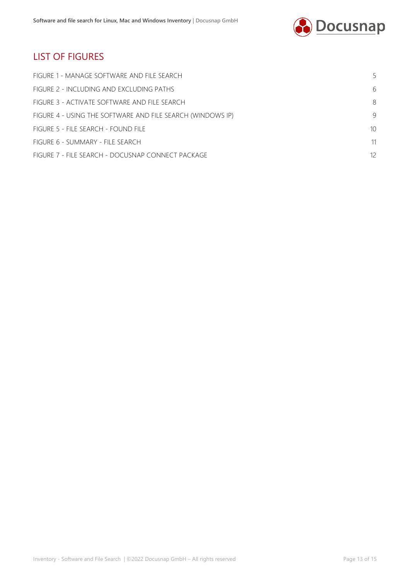

## LIST OF FIGURES

| FIGURE 1 - MANAGE SOFTWARE AND FILE SEARCH                 | 5  |
|------------------------------------------------------------|----|
| FIGURE 2 - INCLUDING AND EXCLUDING PATHS                   | 6  |
| FIGURE 3 - ACTIVATE SOFTWARE AND FILE SEARCH.              | 8  |
| FIGURE 4 - USING THE SOFTWARE AND FILE SEARCH (WINDOWS IP) | -9 |
| FIGURE 5 - FILE SEARCH - FOUND FILE                        | 10 |
| FIGURE 6 - SUMMARY - FILE SEARCH                           | 11 |
| FIGURE 7 - FILE SEARCH - DOCUSNAP CONNECT PACKAGE          | 12 |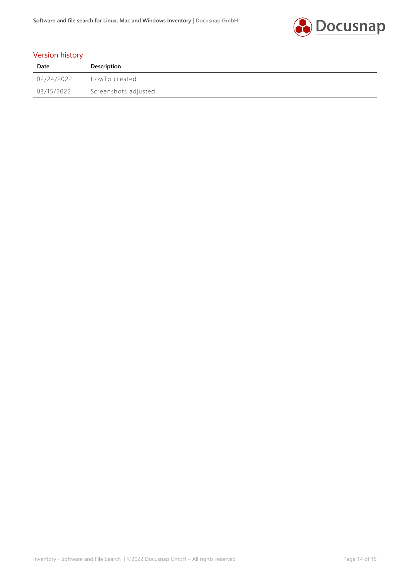

#### Version history

| Date       | Description          |
|------------|----------------------|
| 02/24/2022 | HowTo created        |
| 03/15/2022 | Screenshots adjusted |